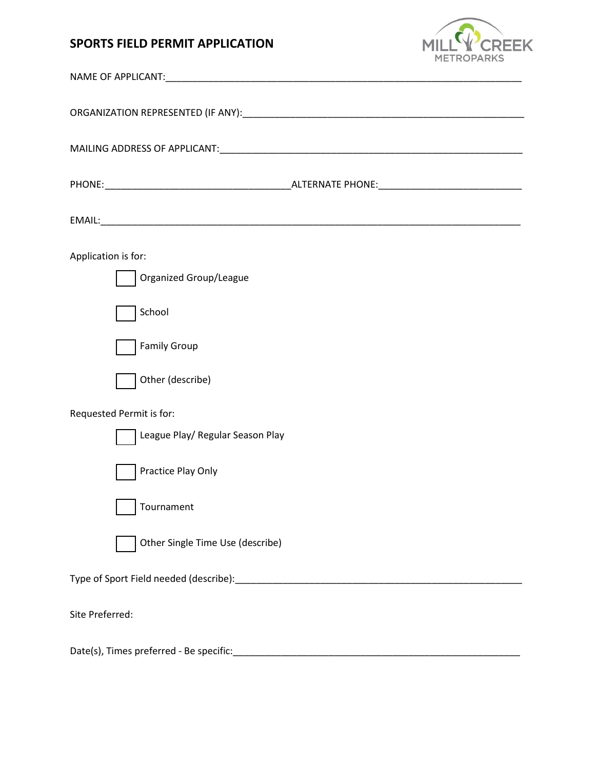## **SPORTS FIELD PERMIT APPLICATION**



| Application is for:                     |  |  |  |
|-----------------------------------------|--|--|--|
| Organized Group/League                  |  |  |  |
| School                                  |  |  |  |
| <b>Family Group</b>                     |  |  |  |
| Other (describe)                        |  |  |  |
| Requested Permit is for:                |  |  |  |
| League Play/ Regular Season Play        |  |  |  |
| Practice Play Only                      |  |  |  |
| Tournament                              |  |  |  |
| Other Single Time Use (describe)        |  |  |  |
|                                         |  |  |  |
| Site Preferred:                         |  |  |  |
| Date(s), Times preferred - Be specific: |  |  |  |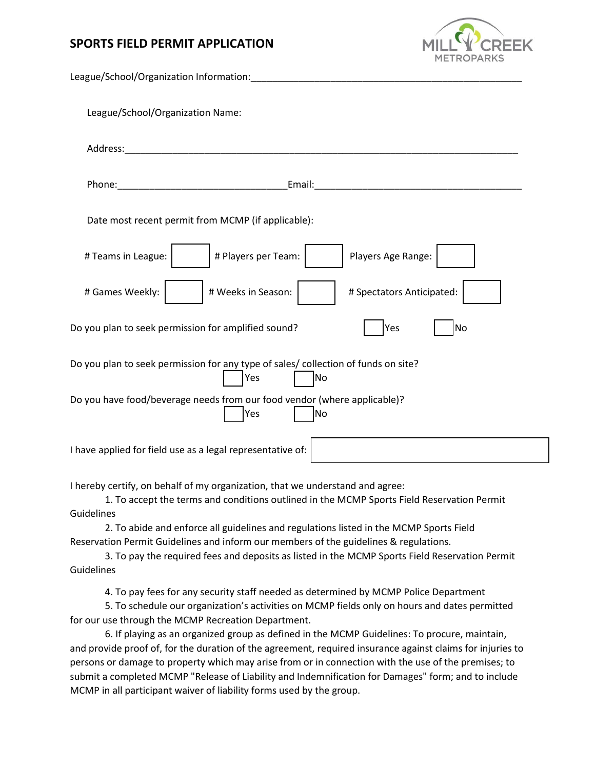## **SPORTS FIELD PERMIT APPLICATION**



| League/School/Organization Information:                                                         |  |  |  |
|-------------------------------------------------------------------------------------------------|--|--|--|
| League/School/Organization Name:                                                                |  |  |  |
|                                                                                                 |  |  |  |
|                                                                                                 |  |  |  |
| Date most recent permit from MCMP (if applicable):                                              |  |  |  |
| # Players per Team:<br># Teams in League:<br>Players Age Range:                                 |  |  |  |
| # Games Weekly:<br># Weeks in Season:<br># Spectators Anticipated:                              |  |  |  |
| Do you plan to seek permission for amplified sound?<br>Yes<br>No                                |  |  |  |
| Do you plan to seek permission for any type of sales/ collection of funds on site?<br>Yes<br>No |  |  |  |
| Do you have food/beverage needs from our food vendor (where applicable)?<br>Yes<br>No           |  |  |  |
| I have applied for field use as a legal representative of:                                      |  |  |  |

I hereby certify, on behalf of my organization, that we understand and agree:

1. To accept the terms and conditions outlined in the MCMP Sports Field Reservation Permit Guidelines

2. To abide and enforce all guidelines and regulations listed in the MCMP Sports Field Reservation Permit Guidelines and inform our members of the guidelines & regulations.

3. To pay the required fees and deposits as listed in the MCMP Sports Field Reservation Permit **Guidelines** 

4. To pay fees for any security staff needed as determined by MCMP Police Department

5. To schedule our organization's activities on MCMP fields only on hours and dates permitted for our use through the MCMP Recreation Department.

6. If playing as an organized group as defined in the MCMP Guidelines: To procure, maintain, and provide proof of, for the duration of the agreement, required insurance against claims for injuries to persons or damage to property which may arise from or in connection with the use of the premises; to submit a completed MCMP "Release of Liability and Indemnification for Damages" form; and to include MCMP in all participant waiver of liability forms used by the group.